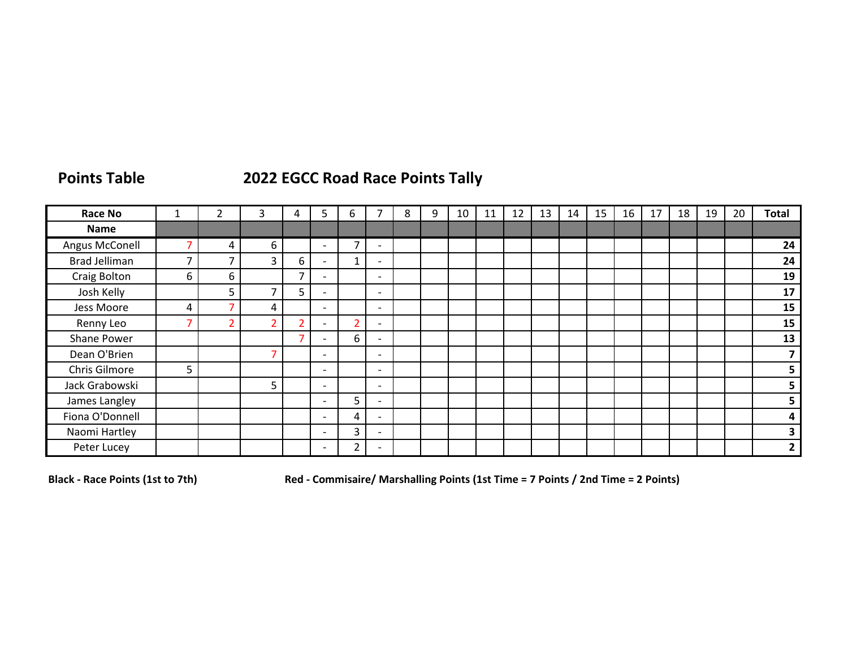## **Points Table 2022 EGCC Road Race Points Tally**

| <b>Race No</b>       |   |                | 3                        | 4                        | 5                        | 6 |                          | 8 | 9 | 10 | 11 | 12 | 13 | 14 | 15 | 16 | 17 | 18 | 19 | 20 | <b>Total</b>   |
|----------------------|---|----------------|--------------------------|--------------------------|--------------------------|---|--------------------------|---|---|----|----|----|----|----|----|----|----|----|----|----|----------------|
| Name                 |   |                |                          |                          |                          |   |                          |   |   |    |    |    |    |    |    |    |    |    |    |    |                |
| Angus McConell       | ⇁ | 4              | 6                        |                          | $\overline{\phantom{0}}$ |   | $\overline{\phantom{a}}$ |   |   |    |    |    |    |    |    |    |    |    |    |    | 24             |
| <b>Brad Jelliman</b> | – | 7              | 3                        | 6                        | $\overline{\phantom{0}}$ |   | $\overline{\phantom{0}}$ |   |   |    |    |    |    |    |    |    |    |    |    |    | 24             |
| Craig Bolton         | 6 | 6              |                          | $\overline{\phantom{a}}$ | $\overline{\phantom{0}}$ |   | $\overline{\phantom{0}}$ |   |   |    |    |    |    |    |    |    |    |    |    |    | 19             |
| Josh Kelly           |   | 5              | $\overline{\phantom{a}}$ | 5                        | $\overline{\phantom{0}}$ |   | $\overline{\phantom{a}}$ |   |   |    |    |    |    |    |    |    |    |    |    |    | 17             |
| Jess Moore           | 4 | 7              | 4                        |                          | $\overline{\phantom{0}}$ |   | $\overline{\phantom{0}}$ |   |   |    |    |    |    |    |    |    |    |    |    |    | 15             |
| Renny Leo            |   | $\overline{2}$ | 2                        |                          |                          |   | $\overline{\phantom{a}}$ |   |   |    |    |    |    |    |    |    |    |    |    |    | 15             |
| Shane Power          |   |                |                          | ⇁                        |                          | 6 | $\overline{\phantom{a}}$ |   |   |    |    |    |    |    |    |    |    |    |    |    | 13             |
| Dean O'Brien         |   |                | ⇁                        |                          | $\overline{\phantom{0}}$ |   | $\overline{\phantom{a}}$ |   |   |    |    |    |    |    |    |    |    |    |    |    |                |
| Chris Gilmore        | 5 |                |                          |                          | $\overline{\phantom{a}}$ |   | $\overline{\phantom{a}}$ |   |   |    |    |    |    |    |    |    |    |    |    |    |                |
| Jack Grabowski       |   |                | 5                        |                          | $\overline{\phantom{0}}$ |   | $\overline{\phantom{0}}$ |   |   |    |    |    |    |    |    |    |    |    |    |    | 5              |
| James Langley        |   |                |                          |                          | $\overline{\phantom{0}}$ | 5 | $\overline{\phantom{a}}$ |   |   |    |    |    |    |    |    |    |    |    |    |    | 5              |
| Fiona O'Donnell      |   |                |                          |                          | $\overline{\phantom{0}}$ | 4 | $\overline{\phantom{a}}$ |   |   |    |    |    |    |    |    |    |    |    |    |    | 4              |
| Naomi Hartley        |   |                |                          |                          | $\overline{\phantom{0}}$ | C | $\overline{\phantom{a}}$ |   |   |    |    |    |    |    |    |    |    |    |    |    |                |
| Peter Lucey          |   |                |                          |                          |                          |   |                          |   |   |    |    |    |    |    |    |    |    |    |    |    | $\overline{2}$ |

**Black - Race Points (1st to 7th) Red - Commisaire/ Marshalling Points (1st Time = 7 Points / 2nd Time = 2 Points)**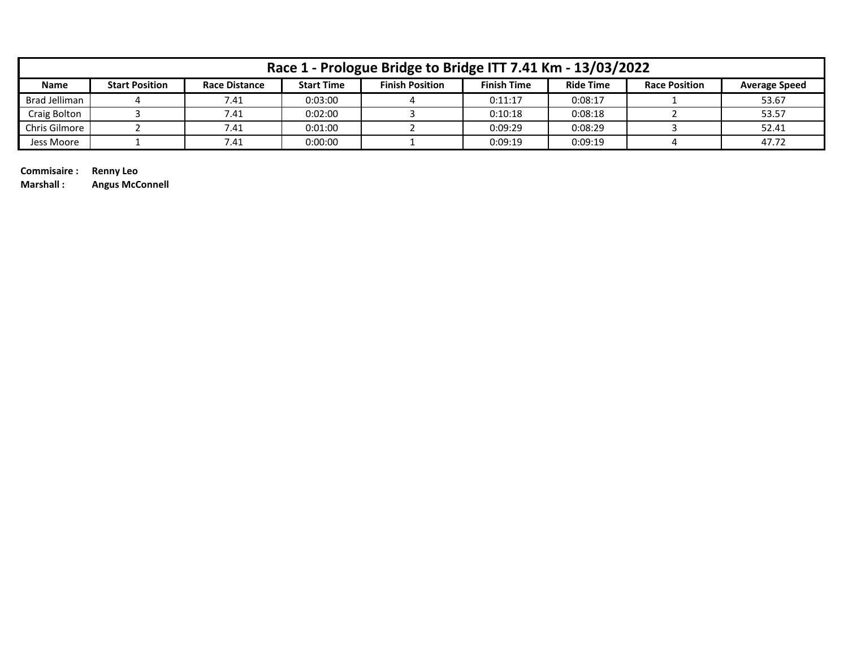|               | Race 1 - Prologue Bridge to Bridge ITT 7.41 Km - 13/03/2022 |                      |                   |                        |                    |                  |                      |                      |  |  |  |  |  |
|---------------|-------------------------------------------------------------|----------------------|-------------------|------------------------|--------------------|------------------|----------------------|----------------------|--|--|--|--|--|
| <b>Name</b>   | <b>Start Position</b>                                       | <b>Race Distance</b> | <b>Start Time</b> | <b>Finish Position</b> | <b>Finish Time</b> | <b>Ride Time</b> | <b>Race Position</b> | <b>Average Speed</b> |  |  |  |  |  |
| Brad Jelliman |                                                             | 7.41                 | 0:03:00           |                        | 0:11:17            | 0:08:17          |                      | 53.67                |  |  |  |  |  |
| Craig Bolton  |                                                             | 7.41                 | 0:02:00           |                        | 0:10:18            | 0:08:18          |                      | 53.57                |  |  |  |  |  |
| Chris Gilmore |                                                             | 7.41                 | 0:01:00           |                        | 0:09:29            | 0:08:29          |                      | 52.41                |  |  |  |  |  |
| Jess Moore    |                                                             | 7.41                 | 0:00:00           |                        | 0:09:19            | 0:09:19          |                      | 47.72                |  |  |  |  |  |

**Commisaire : Renny Leo**

**Marshall : Angus McConnell**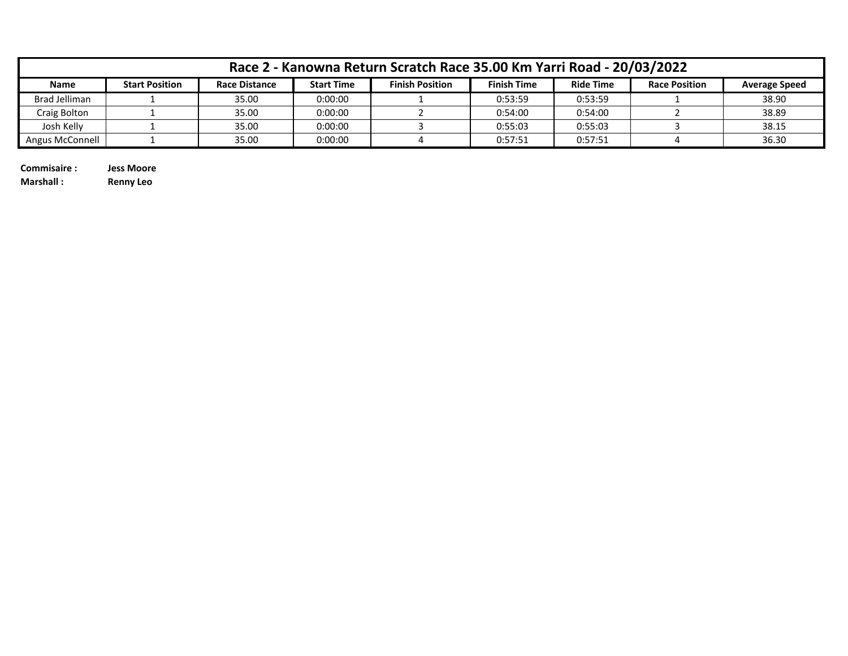|                 | Race 2 - Kanowna Return Scratch Race 35.00 Km Yarri Road - 20/03/2022 |                      |                   |                        |                    |                  |                      |                      |  |  |  |  |
|-----------------|-----------------------------------------------------------------------|----------------------|-------------------|------------------------|--------------------|------------------|----------------------|----------------------|--|--|--|--|
| <b>Name</b>     | <b>Start Position</b>                                                 | <b>Race Distance</b> | <b>Start Time</b> | <b>Finish Position</b> | <b>Finish Time</b> | <b>Ride Time</b> | <b>Race Position</b> | <b>Average Speed</b> |  |  |  |  |
| Brad Jelliman   |                                                                       | 35.00                | 0:00:00           |                        | 0:53:59            | 0:53:59          |                      | 38.90                |  |  |  |  |
| Craig Bolton    |                                                                       | 35.00                | 0:00:00           |                        | 0:54:00            | 0:54:00          |                      | 38.89                |  |  |  |  |
| Josh Kelly      |                                                                       | 35.00                | 0:00:00           |                        | 0:55:03            | 0:55:03          |                      | 38.15                |  |  |  |  |
| Angus McConnell |                                                                       | 35.00                | 0:00:00           |                        | 0:57:51            | 0:57:51          |                      | 36.30                |  |  |  |  |

**Commisaire : Jess Moore**

**Marshall : Renny Leo**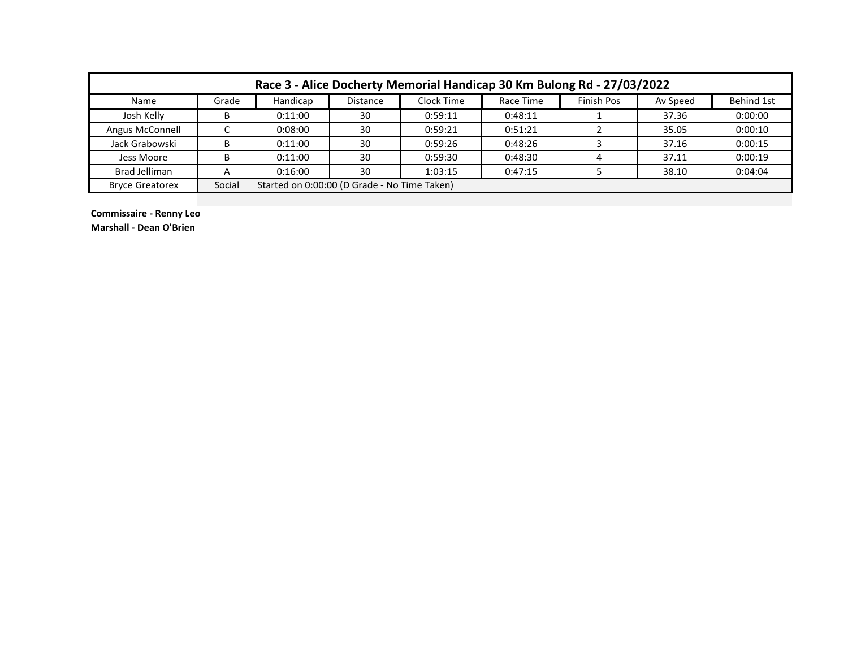| Race 3 - Alice Docherty Memorial Handicap 30 Km Bulong Rd - 27/03/2022 |        |                                              |                 |            |           |            |          |            |  |  |  |
|------------------------------------------------------------------------|--------|----------------------------------------------|-----------------|------------|-----------|------------|----------|------------|--|--|--|
| Name                                                                   | Grade  | Handicap                                     | <b>Distance</b> | Clock Time | Race Time | Finish Pos | Av Speed | Behind 1st |  |  |  |
| Josh Kelly                                                             |        | 0:11:00                                      | 30              | 0:59:11    | 0:48:11   |            | 37.36    | 0:00:00    |  |  |  |
| Angus McConnell                                                        |        | 0:08:00                                      | 30              | 0:59:21    | 0:51:21   |            | 35.05    | 0:00:10    |  |  |  |
| Jack Grabowski                                                         | B      | 0:11:00                                      | 30              | 0:59:26    | 0:48:26   |            | 37.16    | 0:00:15    |  |  |  |
| Jess Moore                                                             | B      | 0:11:00                                      | 30              | 0:59:30    | 0:48:30   |            | 37.11    | 0:00:19    |  |  |  |
| <b>Brad Jelliman</b>                                                   | A      | 0:16:00                                      | 30              | 1:03:15    | 0:47:15   |            | 38.10    | 0:04:04    |  |  |  |
| <b>Bryce Greatorex</b>                                                 | Social | Started on 0:00:00 (D Grade - No Time Taken) |                 |            |           |            |          |            |  |  |  |

**Commissaire - Renny Leo Marshall - Dean O'Brien**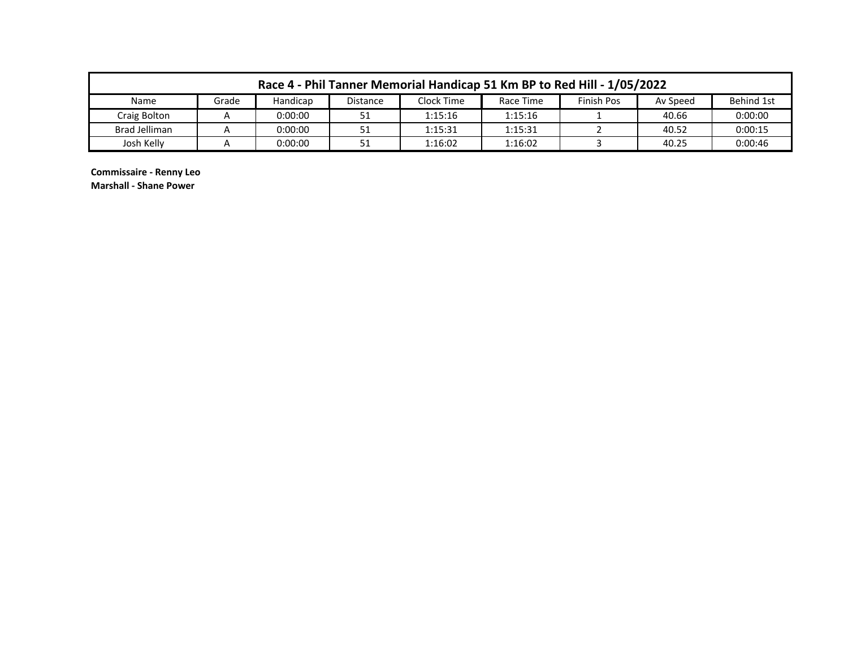| Race 4 - Phil Tanner Memorial Handicap 51 Km BP to Red Hill - 1/05/2022 |       |          |          |            |           |                   |          |            |  |  |
|-------------------------------------------------------------------------|-------|----------|----------|------------|-----------|-------------------|----------|------------|--|--|
| Name                                                                    | Grade | Handicap | Distance | Clock Time | Race Time | <b>Finish Pos</b> | Av Speed | Behind 1st |  |  |
| Craig Bolton                                                            |       | 0:00:00  |          | 1:15:16    | 1:15:16   |                   | 40.66    | 0:00:00    |  |  |
| Brad Jelliman                                                           |       | 0:00:00  | 51       | 1:15:31    | 1:15:31   |                   | 40.52    | 0:00:15    |  |  |
| Josh Kelly                                                              |       | 0:00:00  |          | 1:16:02    | 1:16:02   |                   | 40.25    | 0:00:46    |  |  |

**Commissaire - Renny Leo**

**Marshall - Shane Power**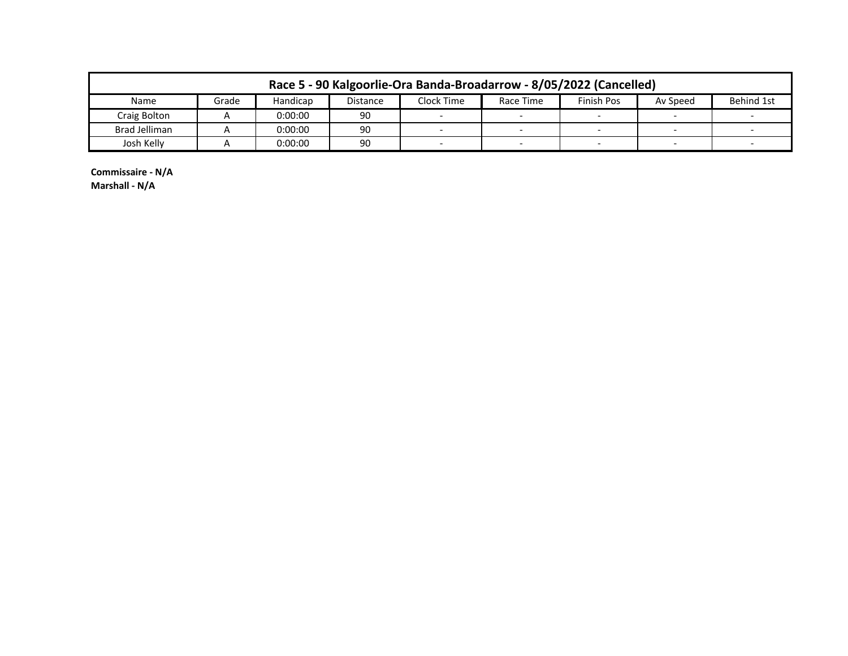| Race 5 - 90 Kalgoorlie-Ora Banda-Broadarrow - 8/05/2022 (Cancelled) |       |          |                 |                          |           |                          |                          |            |  |  |  |
|---------------------------------------------------------------------|-------|----------|-----------------|--------------------------|-----------|--------------------------|--------------------------|------------|--|--|--|
| Name                                                                | Grade | Handicap | <b>Distance</b> | Clock Time               | Race Time | Finish Pos               | Av Speed                 | Behind 1st |  |  |  |
| Craig Bolton                                                        |       | 0:00:00  | 90              |                          |           |                          |                          |            |  |  |  |
| Brad Jelliman                                                       |       | 0:00:00  | 90              | $\overline{\phantom{0}}$ |           | $\overline{\phantom{0}}$ | $\overline{\phantom{0}}$ |            |  |  |  |
| Josh Kelly                                                          |       | 0:00:00  | 90              |                          |           |                          |                          |            |  |  |  |

**Commissaire - N/A Marshall - N/A**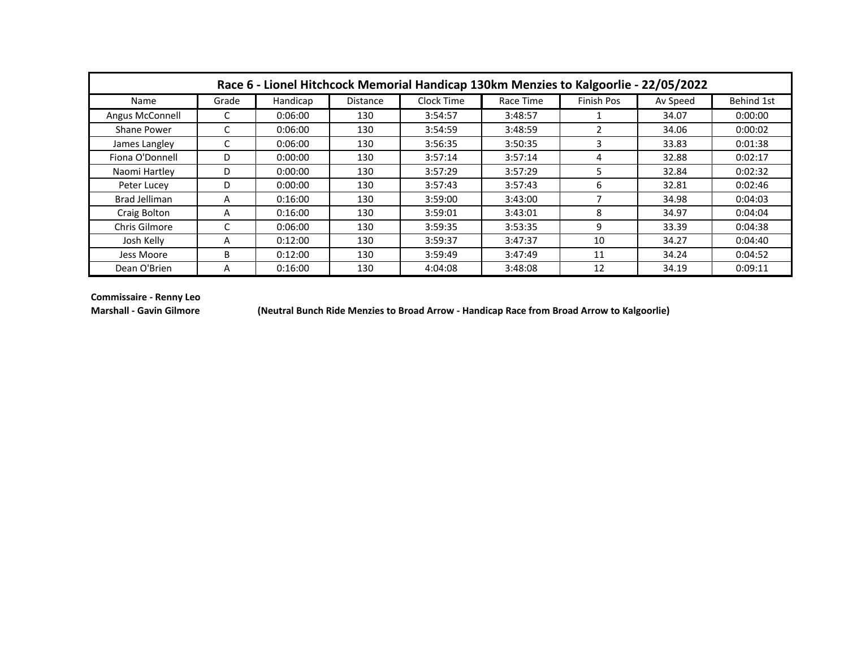|                 | Race 6 - Lionel Hitchcock Memorial Handicap 130km Menzies to Kalgoorlie - 22/05/2022 |          |          |            |           |            |          |                   |  |  |  |  |  |
|-----------------|--------------------------------------------------------------------------------------|----------|----------|------------|-----------|------------|----------|-------------------|--|--|--|--|--|
| Name            | Grade                                                                                | Handicap | Distance | Clock Time | Race Time | Finish Pos | Av Speed | <b>Behind 1st</b> |  |  |  |  |  |
| Angus McConnell |                                                                                      | 0:06:00  | 130      | 3:54:57    | 3:48:57   |            | 34.07    | 0:00:00           |  |  |  |  |  |
| Shane Power     |                                                                                      | 0:06:00  | 130      | 3:54:59    | 3:48:59   | 2          | 34.06    | 0:00:02           |  |  |  |  |  |
| James Langley   |                                                                                      | 0:06:00  | 130      | 3:56:35    | 3:50:35   | 3          | 33.83    | 0:01:38           |  |  |  |  |  |
| Fiona O'Donnell | D                                                                                    | 0:00:00  | 130      | 3:57:14    | 3:57:14   | 4          | 32.88    | 0:02:17           |  |  |  |  |  |
| Naomi Hartley   | D                                                                                    | 0:00:00  | 130      | 3:57:29    | 3:57:29   | 5.         | 32.84    | 0:02:32           |  |  |  |  |  |
| Peter Lucey     | D                                                                                    | 0:00:00  | 130      | 3:57:43    | 3:57:43   | 6          | 32.81    | 0:02:46           |  |  |  |  |  |
| Brad Jelliman   | A                                                                                    | 0:16:00  | 130      | 3:59:00    | 3:43:00   | 7          | 34.98    | 0:04:03           |  |  |  |  |  |
| Craig Bolton    | A                                                                                    | 0:16:00  | 130      | 3:59:01    | 3:43:01   | 8          | 34.97    | 0:04:04           |  |  |  |  |  |
| Chris Gilmore   |                                                                                      | 0:06:00  | 130      | 3:59:35    | 3:53:35   | 9          | 33.39    | 0:04:38           |  |  |  |  |  |
| Josh Kelly      | A                                                                                    | 0:12:00  | 130      | 3:59:37    | 3:47:37   | 10         | 34.27    | 0:04:40           |  |  |  |  |  |
| Jess Moore      | B                                                                                    | 0:12:00  | 130      | 3:59:49    | 3:47:49   | 11         | 34.24    | 0:04:52           |  |  |  |  |  |
| Dean O'Brien    | A                                                                                    | 0:16:00  | 130      | 4:04:08    | 3:48:08   | 12         | 34.19    | 0:09:11           |  |  |  |  |  |

**Commissaire - Renny Leo**

**Marshall - Gavin Gilmore (Neutral Bunch Ride Menzies to Broad Arrow - Handicap Race from Broad Arrow to Kalgoorlie)**